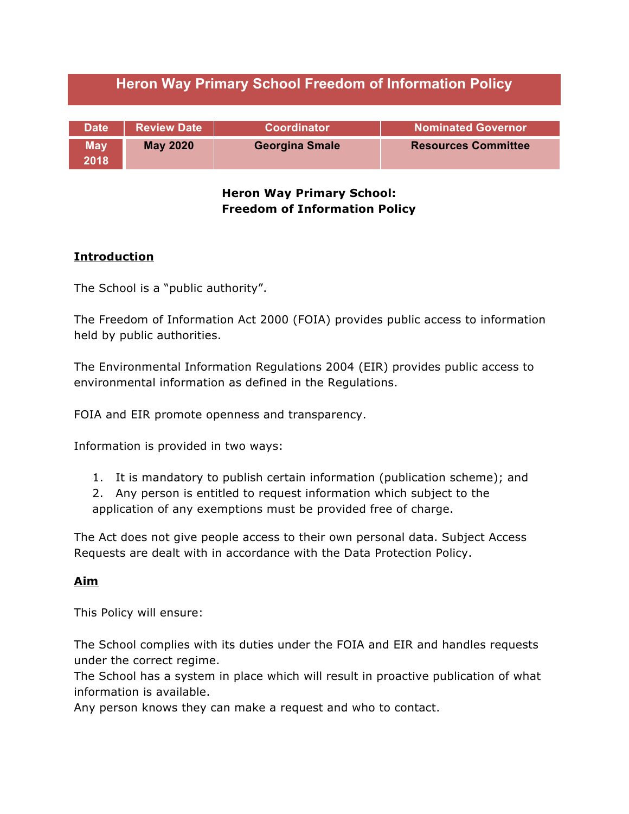|  | <b>Heron Way Primary School Freedom of Information Policy</b> |  |
|--|---------------------------------------------------------------|--|
|--|---------------------------------------------------------------|--|

| <b>Date</b>        | <b>Review Date</b> | Coordinator           | <b>Nominated Governor</b>  |
|--------------------|--------------------|-----------------------|----------------------------|
| <b>May</b><br>2018 | <b>May 2020</b>    | <b>Georgina Smale</b> | <b>Resources Committee</b> |

### **Heron Way Primary School: Freedom of Information Policy**

# **Introduction**

The School is a "public authority".

The Freedom of Information Act 2000 (FOIA) provides public access to information held by public authorities.

The Environmental Information Regulations 2004 (EIR) provides public access to environmental information as defined in the Regulations.

FOIA and EIR promote openness and transparency.

Information is provided in two ways:

- 1. It is mandatory to publish certain information (publication scheme); and
- 2. Any person is entitled to request information which subject to the application of any exemptions must be provided free of charge.

The Act does not give people access to their own personal data. Subject Access Requests are dealt with in accordance with the Data Protection Policy.

#### **Aim**

This Policy will ensure:

The School complies with its duties under the FOIA and EIR and handles requests under the correct regime.

The School has a system in place which will result in proactive publication of what information is available.

Any person knows they can make a request and who to contact.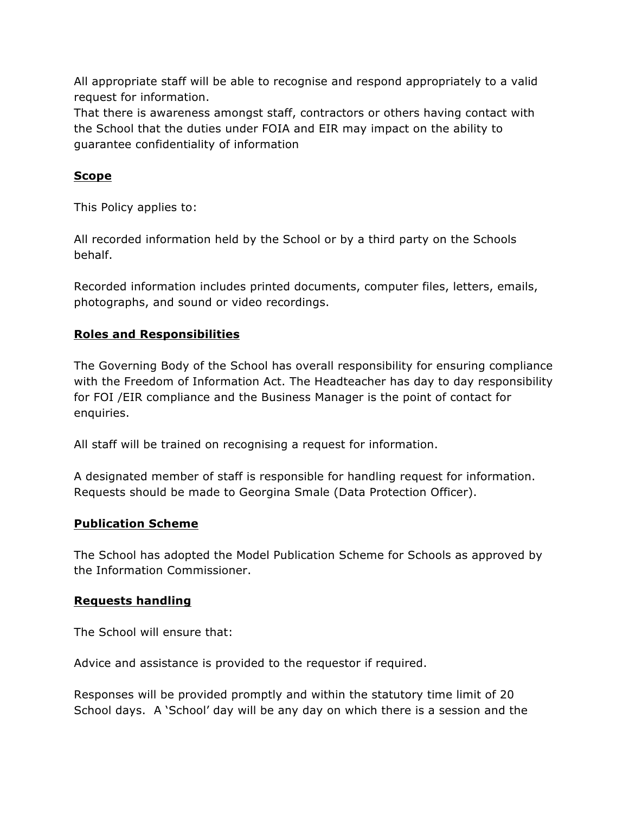All appropriate staff will be able to recognise and respond appropriately to a valid request for information.

That there is awareness amongst staff, contractors or others having contact with the School that the duties under FOIA and EIR may impact on the ability to guarantee confidentiality of information

# **Scope**

This Policy applies to:

All recorded information held by the School or by a third party on the Schools behalf.

Recorded information includes printed documents, computer files, letters, emails, photographs, and sound or video recordings.

# **Roles and Responsibilities**

The Governing Body of the School has overall responsibility for ensuring compliance with the Freedom of Information Act. The Headteacher has day to day responsibility for FOI /EIR compliance and the Business Manager is the point of contact for enquiries.

All staff will be trained on recognising a request for information.

A designated member of staff is responsible for handling request for information. Requests should be made to Georgina Smale (Data Protection Officer).

# **Publication Scheme**

The School has adopted the Model Publication Scheme for Schools as approved by the Information Commissioner.

# **Requests handling**

The School will ensure that:

Advice and assistance is provided to the requestor if required.

Responses will be provided promptly and within the statutory time limit of 20 School days. A 'School' day will be any day on which there is a session and the